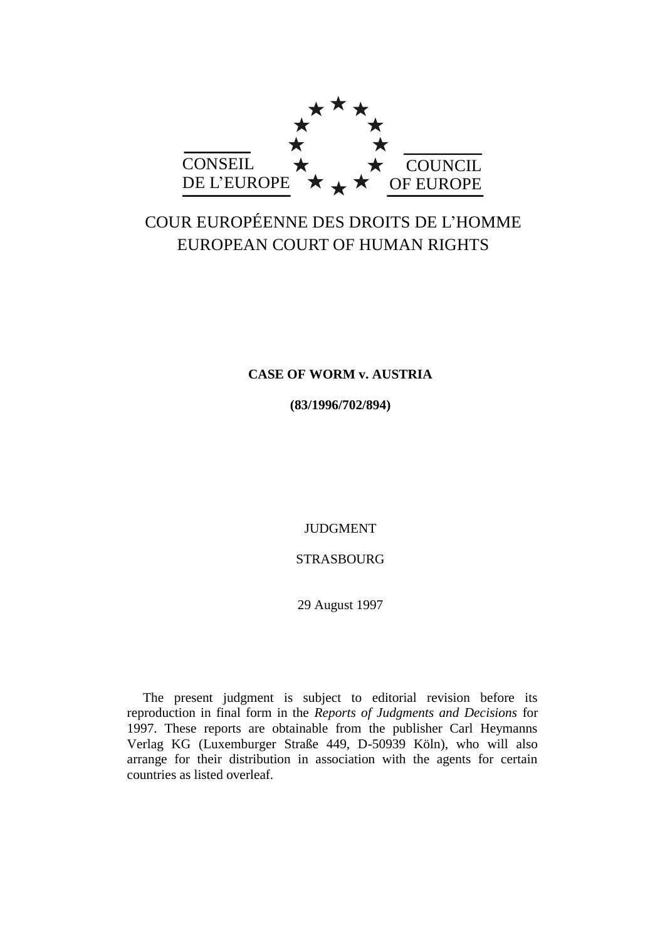

# COUR EUROPÉENNE DES DROITS DE L'HOMME EUROPEAN COURT OF HUMAN RIGHTS

# **CASE OF WORM v. AUSTRIA**

**(83/1996/702/894)**

JUDGMENT

STRASBOURG

29 August 1997

The present judgment is subject to editorial revision before its reproduction in final form in the *Reports of Judgments and Decisions* for 1997. These reports are obtainable from the publisher Carl Heymanns Verlag KG (Luxemburger Straße 449, D-50939 Köln), who will also arrange for their distribution in association with the agents for certain countries as listed overleaf.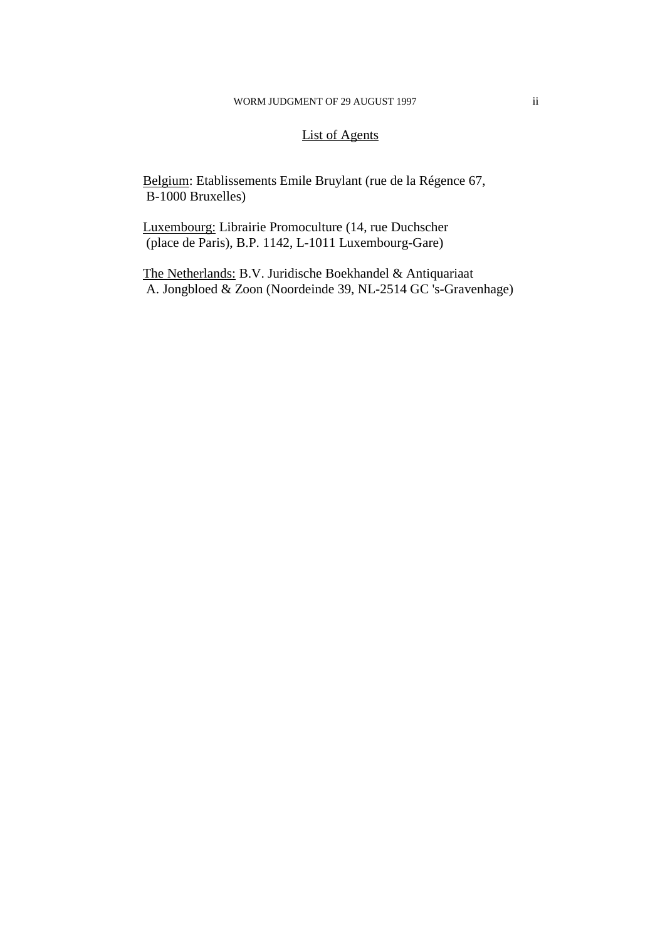# List of Agents

Belgium: Etablissements Emile Bruylant (rue de la Régence 67, B-1000 Bruxelles)

Luxembourg: Librairie Promoculture (14, rue Duchscher (place de Paris), B.P. 1142, L-1011 Luxembourg-Gare)

The Netherlands: B.V. Juridische Boekhandel & Antiquariaat A. Jongbloed & Zoon (Noordeinde 39, NL-2514 GC 's-Gravenhage)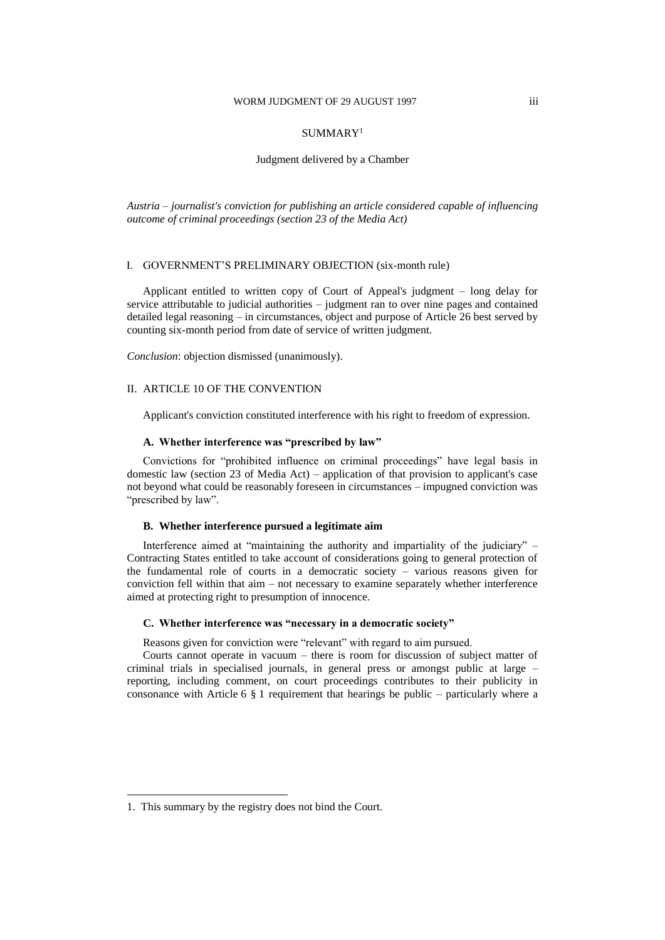#### WORM JUDGMENT OF 29 AUGUST 1997

#### SUMMARY<sup>1</sup>

#### Judgment delivered by a Chamber

*Austria – journalist's conviction for publishing an article considered capable of influencing outcome of criminal proceedings (section 23 of the Media Act)*

#### I. GOVERNMENT'S PRELIMINARY OBJECTION (six-month rule)

Applicant entitled to written copy of Court of Appeal's judgment – long delay for service attributable to judicial authorities – judgment ran to over nine pages and contained detailed legal reasoning – in circumstances, object and purpose of Article 26 best served by counting six-month period from date of service of written judgment.

*Conclusion*: objection dismissed (unanimously).

#### II. ARTICLE 10 OF THE CONVENTION

Applicant's conviction constituted interference with his right to freedom of expression.

#### **A. Whether interference was "prescribed by law"**

Convictions for "prohibited influence on criminal proceedings" have legal basis in domestic law (section 23 of Media Act) – application of that provision to applicant's case not beyond what could be reasonably foreseen in circumstances – impugned conviction was "prescribed by law".

#### **B. Whether interference pursued a legitimate aim**

Interference aimed at "maintaining the authority and impartiality of the judiciary" – Contracting States entitled to take account of considerations going to general protection of the fundamental role of courts in a democratic society – various reasons given for conviction fell within that aim – not necessary to examine separately whether interference aimed at protecting right to presumption of innocence.

#### **C. Whether interference was "necessary in a democratic society"**

Reasons given for conviction were "relevant" with regard to aim pursued.

Courts cannot operate in vacuum – there is room for discussion of subject matter of criminal trials in specialised journals, in general press or amongst public at large – reporting, including comment, on court proceedings contributes to their publicity in consonance with Article 6 § 1 requirement that hearings be public – particularly where a

 $\overline{a}$ 

<sup>1.</sup> This summary by the registry does not bind the Court.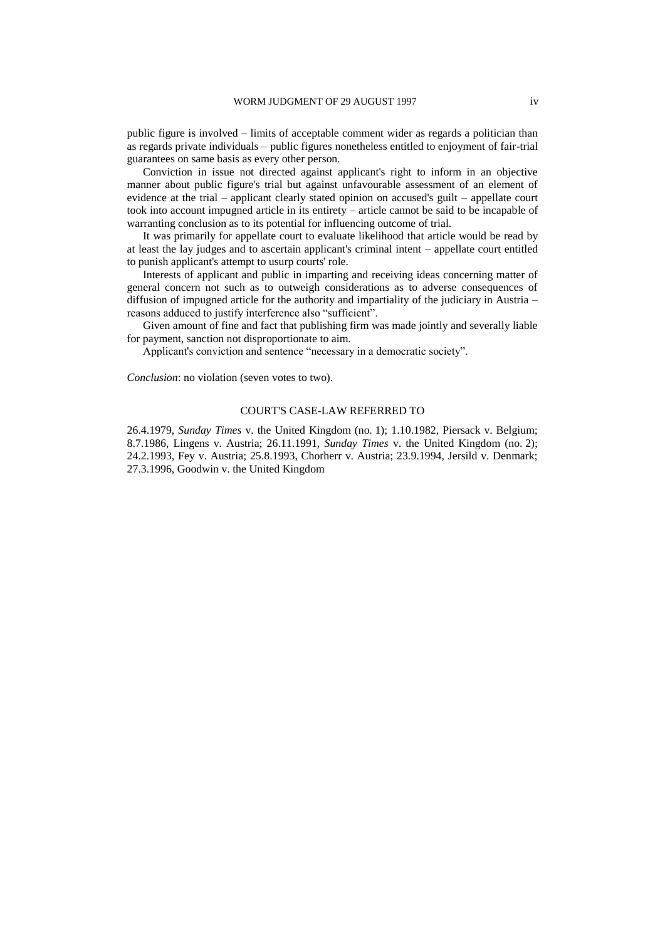public figure is involved – limits of acceptable comment wider as regards a politician than as regards private individuals – public figures nonetheless entitled to enjoyment of fair-trial guarantees on same basis as every other person.

Conviction in issue not directed against applicant's right to inform in an objective manner about public figure's trial but against unfavourable assessment of an element of evidence at the trial – applicant clearly stated opinion on accused's guilt – appellate court took into account impugned article in its entirety – article cannot be said to be incapable of warranting conclusion as to its potential for influencing outcome of trial.

It was primarily for appellate court to evaluate likelihood that article would be read by at least the lay judges and to ascertain applicant's criminal intent – appellate court entitled to punish applicant's attempt to usurp courts' role.

Interests of applicant and public in imparting and receiving ideas concerning matter of general concern not such as to outweigh considerations as to adverse consequences of diffusion of impugned article for the authority and impartiality of the judiciary in Austria – reasons adduced to justify interference also "sufficient".

Given amount of fine and fact that publishing firm was made jointly and severally liable for payment, sanction not disproportionate to aim.

Applicant's conviction and sentence "necessary in a democratic society".

*Conclusion*: no violation (seven votes to two).

#### COURT'S CASE-LAW REFERRED TO

26.4.1979, *Sunday Times* v. the United Kingdom (no. 1); 1.10.1982, Piersack v. Belgium; 8.7.1986, Lingens v. Austria; 26.11.1991, *Sunday Times* v. the United Kingdom (no. 2); 24.2.1993, Fey v. Austria; 25.8.1993, Chorherr v. Austria; 23.9.1994, Jersild v. Denmark; 27.3.1996, Goodwin v. the United Kingdom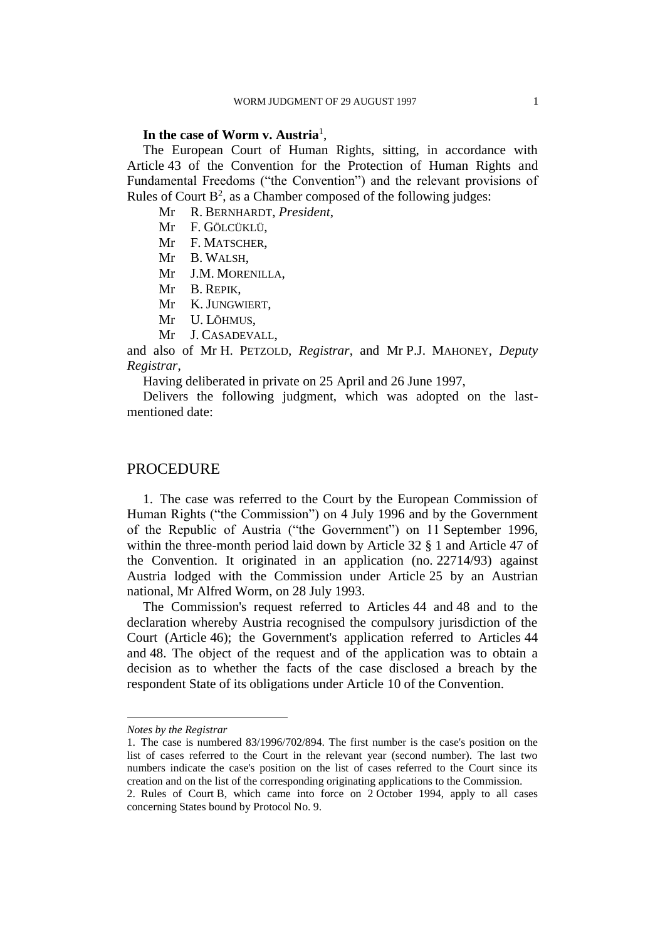### **In the case of Worm v. Austria**<sup>1</sup> ,

The European Court of Human Rights, sitting, in accordance with Article 43 of the Convention for the Protection of Human Rights and Fundamental Freedoms ("the Convention") and the relevant provisions of Rules of Court  $B^2$ , as a Chamber composed of the following judges:

Mr R. BERNHARDT, *President*,

Mr F. GÖLCÜKLÜ,

Mr F. MATSCHER,

Mr B. WALSH,

Mr J.M. MORENILLA,

- Mr B. REPIK,
- Mr K. JUNGWIERT,
- Mr U. LŌHMUS,
- Mr J. CASADEVALL,

and also of Mr H. PETZOLD, *Registrar*, and Mr P.J. MAHONEY, *Deputy Registrar*,

Having deliberated in private on 25 April and 26 June 1997,

Delivers the following judgment, which was adopted on the lastmentioned date:

### **PROCEDURE**

1. The case was referred to the Court by the European Commission of Human Rights ("the Commission") on 4 July 1996 and by the Government of the Republic of Austria ("the Government") on 11 September 1996, within the three-month period laid down by Article 32 § 1 and Article 47 of the Convention. It originated in an application (no. 22714/93) against Austria lodged with the Commission under Article 25 by an Austrian national, Mr Alfred Worm, on 28 July 1993.

The Commission's request referred to Articles 44 and 48 and to the declaration whereby Austria recognised the compulsory jurisdiction of the Court (Article 46); the Government's application referred to Articles 44 and 48. The object of the request and of the application was to obtain a decision as to whether the facts of the case disclosed a breach by the respondent State of its obligations under Article 10 of the Convention.

 $\overline{a}$ 

*Notes by the Registrar*

<sup>1.</sup> The case is numbered 83/1996/702/894. The first number is the case's position on the list of cases referred to the Court in the relevant year (second number). The last two numbers indicate the case's position on the list of cases referred to the Court since its creation and on the list of the corresponding originating applications to the Commission. 2. Rules of Court B, which came into force on 2 October 1994, apply to all cases concerning States bound by Protocol No. 9.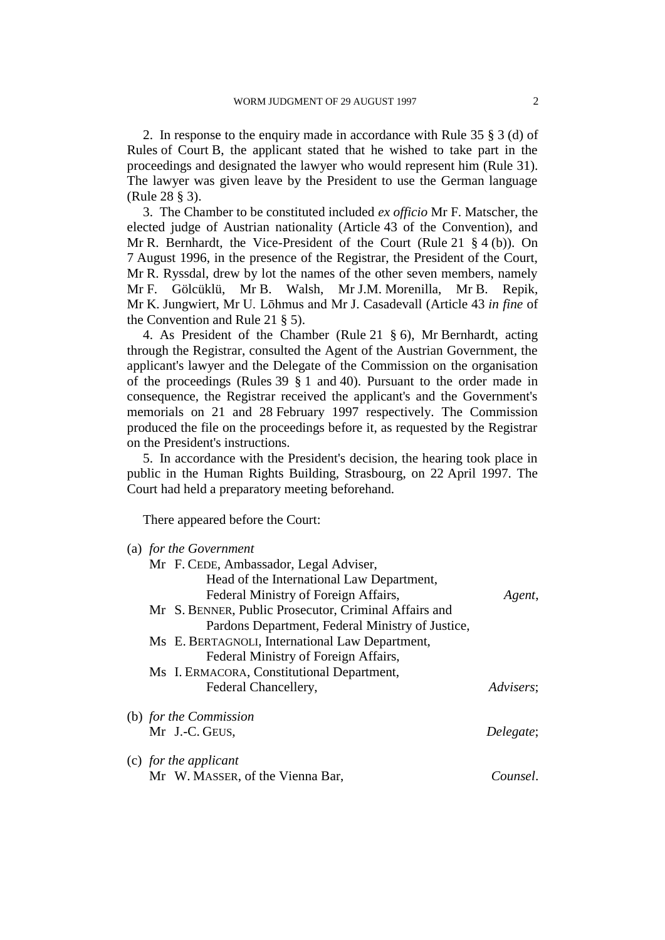2. In response to the enquiry made in accordance with Rule 35 § 3 (d) of Rules of Court B, the applicant stated that he wished to take part in the proceedings and designated the lawyer who would represent him (Rule 31). The lawyer was given leave by the President to use the German language (Rule 28 § 3).

3. The Chamber to be constituted included *ex officio* Mr F. Matscher, the elected judge of Austrian nationality (Article 43 of the Convention), and Mr R. Bernhardt, the Vice-President of the Court (Rule 21 § 4 (b)). On 7 August 1996, in the presence of the Registrar, the President of the Court, Mr R. Ryssdal, drew by lot the names of the other seven members, namely Mr F. Gölcüklü, Mr B. Walsh, Mr J.M. Morenilla, Mr B. Repik, Mr K. Jungwiert, Mr U. Lōhmus and Mr J. Casadevall (Article 43 *in fine* of the Convention and Rule 21 § 5).

4. As President of the Chamber (Rule 21 § 6), Mr Bernhardt, acting through the Registrar, consulted the Agent of the Austrian Government, the applicant's lawyer and the Delegate of the Commission on the organisation of the proceedings (Rules 39 § 1 and 40). Pursuant to the order made in consequence, the Registrar received the applicant's and the Government's memorials on 21 and 28 February 1997 respectively. The Commission produced the file on the proceedings before it, as requested by the Registrar on the President's instructions.

5. In accordance with the President's decision, the hearing took place in public in the Human Rights Building, Strasbourg, on 22 April 1997. The Court had held a preparatory meeting beforehand.

There appeared before the Court:

| (a) for the Government                                |           |
|-------------------------------------------------------|-----------|
| Mr F. CEDE, Ambassador, Legal Adviser,                |           |
| Head of the International Law Department,             |           |
| Federal Ministry of Foreign Affairs,                  | Agent,    |
| Mr S. BENNER, Public Prosecutor, Criminal Affairs and |           |
| Pardons Department, Federal Ministry of Justice,      |           |
| Ms E. BERTAGNOLI, International Law Department,       |           |
| Federal Ministry of Foreign Affairs,                  |           |
| Ms I. ERMACORA, Constitutional Department,            |           |
| Federal Chancellery,                                  | Advisers: |
| (b) for the Commission                                |           |
| Mr J.-C. GEUS,                                        | Delegate; |
| (c) for the applicant                                 |           |
| Mr W. MASSER, of the Vienna Bar,                      | Counsel.  |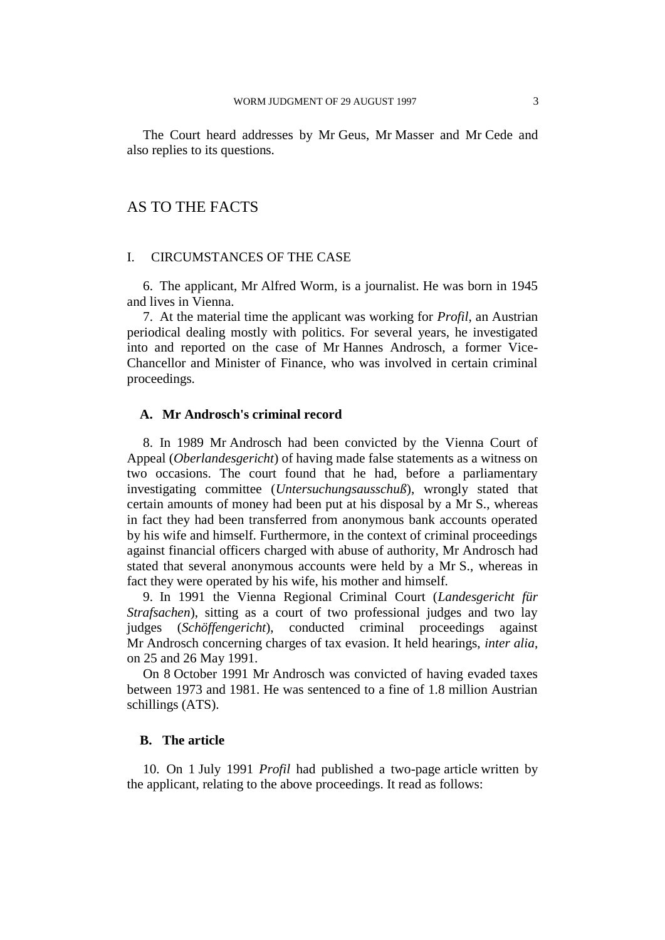The Court heard addresses by Mr Geus, Mr Masser and Mr Cede and also replies to its questions.

# AS TO THE FACTS

### I. CIRCUMSTANCES OF THE CASE

6. The applicant, Mr Alfred Worm, is a journalist. He was born in 1945 and lives in Vienna.

7. At the material time the applicant was working for *Profil*, an Austrian periodical dealing mostly with politics. For several years, he investigated into and reported on the case of Mr Hannes Androsch, a former Vice-Chancellor and Minister of Finance, who was involved in certain criminal proceedings.

### **A. Mr Androsch's criminal record**

8. In 1989 Mr Androsch had been convicted by the Vienna Court of Appeal (*Oberlandesgericht*) of having made false statements as a witness on two occasions. The court found that he had, before a parliamentary investigating committee (*Untersuchungsausschuß*), wrongly stated that certain amounts of money had been put at his disposal by a Mr S., whereas in fact they had been transferred from anonymous bank accounts operated by his wife and himself. Furthermore, in the context of criminal proceedings against financial officers charged with abuse of authority, Mr Androsch had stated that several anonymous accounts were held by a Mr S., whereas in fact they were operated by his wife, his mother and himself.

9. In 1991 the Vienna Regional Criminal Court (*Landesgericht für Strafsachen*), sitting as a court of two professional judges and two lay judges (*Schöffengericht*), conducted criminal proceedings against Mr Androsch concerning charges of tax evasion. It held hearings, *inter alia*, on 25 and 26 May 1991.

On 8 October 1991 Mr Androsch was convicted of having evaded taxes between 1973 and 1981. He was sentenced to a fine of 1.8 million Austrian schillings (ATS).

### **B. The article**

10. On 1 July 1991 *Profil* had published a two-page article written by the applicant, relating to the above proceedings. It read as follows: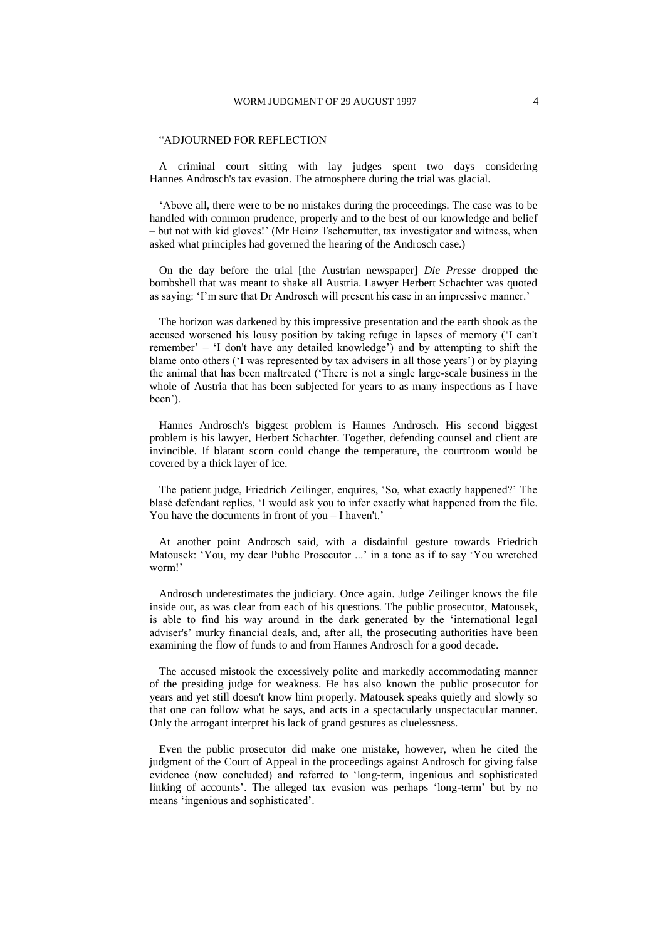#### "ADJOURNED FOR REFLECTION

A criminal court sitting with lay judges spent two days considering Hannes Androsch's tax evasion. The atmosphere during the trial was glacial.

'Above all, there were to be no mistakes during the proceedings. The case was to be handled with common prudence, properly and to the best of our knowledge and belief – but not with kid gloves!' (Mr Heinz Tschernutter, tax investigator and witness, when asked what principles had governed the hearing of the Androsch case.)

On the day before the trial [the Austrian newspaper] *Die Presse* dropped the bombshell that was meant to shake all Austria. Lawyer Herbert Schachter was quoted as saying: 'I'm sure that Dr Androsch will present his case in an impressive manner.'

The horizon was darkened by this impressive presentation and the earth shook as the accused worsened his lousy position by taking refuge in lapses of memory ('I can't remember' – 'I don't have any detailed knowledge') and by attempting to shift the blame onto others ('I was represented by tax advisers in all those years') or by playing the animal that has been maltreated ('There is not a single large-scale business in the whole of Austria that has been subjected for years to as many inspections as I have been').

Hannes Androsch's biggest problem is Hannes Androsch. His second biggest problem is his lawyer, Herbert Schachter. Together, defending counsel and client are invincible. If blatant scorn could change the temperature, the courtroom would be covered by a thick layer of ice.

The patient judge, Friedrich Zeilinger, enquires, 'So, what exactly happened?' The blasé defendant replies, 'I would ask you to infer exactly what happened from the file. You have the documents in front of you – I haven't.'

At another point Androsch said, with a disdainful gesture towards Friedrich Matousek: 'You, my dear Public Prosecutor ...' in a tone as if to say 'You wretched worm!'

Androsch underestimates the judiciary. Once again. Judge Zeilinger knows the file inside out, as was clear from each of his questions. The public prosecutor, Matousek, is able to find his way around in the dark generated by the 'international legal adviser's' murky financial deals, and, after all, the prosecuting authorities have been examining the flow of funds to and from Hannes Androsch for a good decade.

The accused mistook the excessively polite and markedly accommodating manner of the presiding judge for weakness. He has also known the public prosecutor for years and yet still doesn't know him properly. Matousek speaks quietly and slowly so that one can follow what he says, and acts in a spectacularly unspectacular manner. Only the arrogant interpret his lack of grand gestures as cluelessness.

Even the public prosecutor did make one mistake, however, when he cited the judgment of the Court of Appeal in the proceedings against Androsch for giving false evidence (now concluded) and referred to 'long-term, ingenious and sophisticated linking of accounts'. The alleged tax evasion was perhaps 'long-term' but by no means 'ingenious and sophisticated'.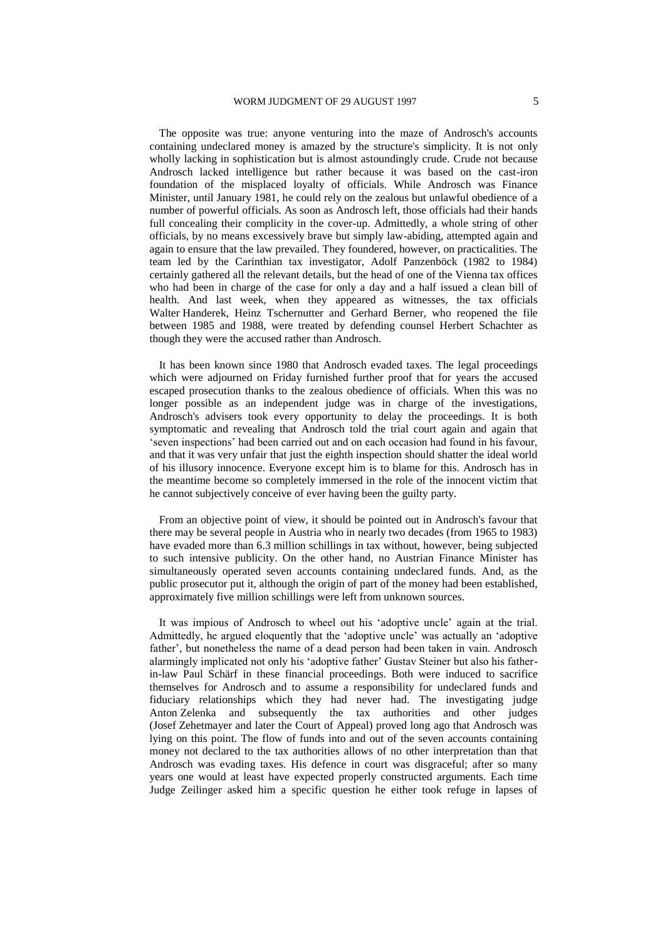The opposite was true: anyone venturing into the maze of Androsch's accounts containing undeclared money is amazed by the structure's simplicity. It is not only wholly lacking in sophistication but is almost astoundingly crude. Crude not because Androsch lacked intelligence but rather because it was based on the cast-iron foundation of the misplaced loyalty of officials. While Androsch was Finance Minister, until January 1981, he could rely on the zealous but unlawful obedience of a number of powerful officials. As soon as Androsch left, those officials had their hands full concealing their complicity in the cover-up. Admittedly, a whole string of other officials, by no means excessively brave but simply law-abiding, attempted again and again to ensure that the law prevailed. They foundered, however, on practicalities. The team led by the Carinthian tax investigator, Adolf Panzenböck (1982 to 1984) certainly gathered all the relevant details, but the head of one of the Vienna tax offices who had been in charge of the case for only a day and a half issued a clean bill of health. And last week, when they appeared as witnesses, the tax officials Walter Handerek, Heinz Tschernutter and Gerhard Berner, who reopened the file between 1985 and 1988, were treated by defending counsel Herbert Schachter as though they were the accused rather than Androsch.

It has been known since 1980 that Androsch evaded taxes. The legal proceedings which were adjourned on Friday furnished further proof that for years the accused escaped prosecution thanks to the zealous obedience of officials. When this was no longer possible as an independent judge was in charge of the investigations, Androsch's advisers took every opportunity to delay the proceedings. It is both symptomatic and revealing that Androsch told the trial court again and again that 'seven inspections' had been carried out and on each occasion had found in his favour, and that it was very unfair that just the eighth inspection should shatter the ideal world of his illusory innocence. Everyone except him is to blame for this. Androsch has in the meantime become so completely immersed in the role of the innocent victim that he cannot subjectively conceive of ever having been the guilty party.

From an objective point of view, it should be pointed out in Androsch's favour that there may be several people in Austria who in nearly two decades (from 1965 to 1983) have evaded more than 6.3 million schillings in tax without, however, being subjected to such intensive publicity. On the other hand, no Austrian Finance Minister has simultaneously operated seven accounts containing undeclared funds. And, as the public prosecutor put it, although the origin of part of the money had been established, approximately five million schillings were left from unknown sources.

It was impious of Androsch to wheel out his 'adoptive uncle' again at the trial. Admittedly, he argued eloquently that the 'adoptive uncle' was actually an 'adoptive father', but nonetheless the name of a dead person had been taken in vain. Androsch alarmingly implicated not only his 'adoptive father' Gustav Steiner but also his fatherin-law Paul Schärf in these financial proceedings. Both were induced to sacrifice themselves for Androsch and to assume a responsibility for undeclared funds and fiduciary relationships which they had never had. The investigating judge Anton Zelenka and subsequently the tax authorities and other judges (Josef Zehetmayer and later the Court of Appeal) proved long ago that Androsch was lying on this point. The flow of funds into and out of the seven accounts containing money not declared to the tax authorities allows of no other interpretation than that Androsch was evading taxes. His defence in court was disgraceful; after so many years one would at least have expected properly constructed arguments. Each time Judge Zeilinger asked him a specific question he either took refuge in lapses of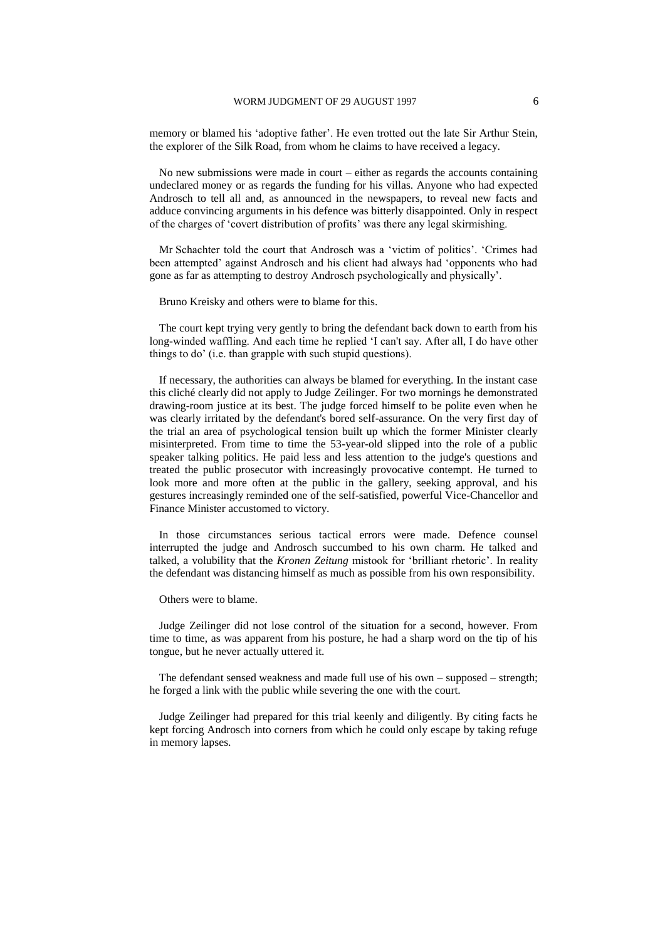memory or blamed his 'adoptive father'. He even trotted out the late Sir Arthur Stein, the explorer of the Silk Road, from whom he claims to have received a legacy.

No new submissions were made in court – either as regards the accounts containing undeclared money or as regards the funding for his villas. Anyone who had expected Androsch to tell all and, as announced in the newspapers, to reveal new facts and adduce convincing arguments in his defence was bitterly disappointed. Only in respect of the charges of 'covert distribution of profits' was there any legal skirmishing.

Mr Schachter told the court that Androsch was a 'victim of politics'. 'Crimes had been attempted' against Androsch and his client had always had 'opponents who had gone as far as attempting to destroy Androsch psychologically and physically'.

Bruno Kreisky and others were to blame for this.

The court kept trying very gently to bring the defendant back down to earth from his long-winded waffling. And each time he replied 'I can't say. After all, I do have other things to do' (i.e. than grapple with such stupid questions).

If necessary, the authorities can always be blamed for everything. In the instant case this cliché clearly did not apply to Judge Zeilinger. For two mornings he demonstrated drawing-room justice at its best. The judge forced himself to be polite even when he was clearly irritated by the defendant's bored self-assurance. On the very first day of the trial an area of psychological tension built up which the former Minister clearly misinterpreted. From time to time the 53-year-old slipped into the role of a public speaker talking politics. He paid less and less attention to the judge's questions and treated the public prosecutor with increasingly provocative contempt. He turned to look more and more often at the public in the gallery, seeking approval, and his gestures increasingly reminded one of the self-satisfied, powerful Vice-Chancellor and Finance Minister accustomed to victory.

In those circumstances serious tactical errors were made. Defence counsel interrupted the judge and Androsch succumbed to his own charm. He talked and talked, a volubility that the *Kronen Zeitung* mistook for 'brilliant rhetoric'. In reality the defendant was distancing himself as much as possible from his own responsibility.

Others were to blame.

Judge Zeilinger did not lose control of the situation for a second, however. From time to time, as was apparent from his posture, he had a sharp word on the tip of his tongue, but he never actually uttered it.

The defendant sensed weakness and made full use of his own – supposed – strength; he forged a link with the public while severing the one with the court.

Judge Zeilinger had prepared for this trial keenly and diligently. By citing facts he kept forcing Androsch into corners from which he could only escape by taking refuge in memory lapses.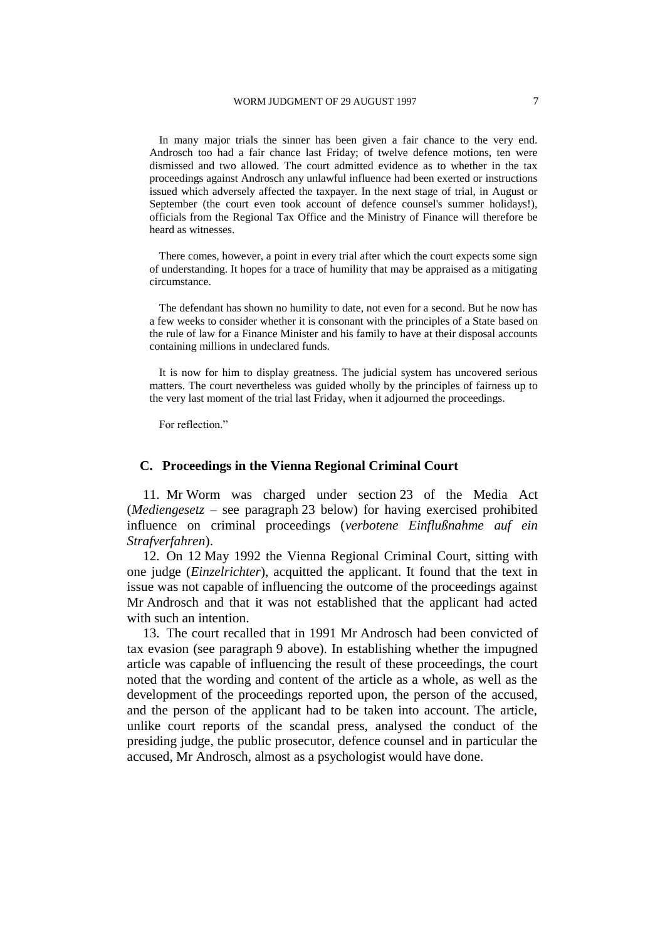In many major trials the sinner has been given a fair chance to the very end. Androsch too had a fair chance last Friday; of twelve defence motions, ten were dismissed and two allowed. The court admitted evidence as to whether in the tax proceedings against Androsch any unlawful influence had been exerted or instructions issued which adversely affected the taxpayer. In the next stage of trial, in August or September (the court even took account of defence counsel's summer holidays!), officials from the Regional Tax Office and the Ministry of Finance will therefore be heard as witnesses.

There comes, however, a point in every trial after which the court expects some sign of understanding. It hopes for a trace of humility that may be appraised as a mitigating circumstance.

The defendant has shown no humility to date, not even for a second. But he now has a few weeks to consider whether it is consonant with the principles of a State based on the rule of law for a Finance Minister and his family to have at their disposal accounts containing millions in undeclared funds.

It is now for him to display greatness. The judicial system has uncovered serious matters. The court nevertheless was guided wholly by the principles of fairness up to the very last moment of the trial last Friday, when it adjourned the proceedings.

For reflection."

### **C. Proceedings in the Vienna Regional Criminal Court**

11. Mr Worm was charged under section 23 of the Media Act (*Mediengesetz* – see paragraph 23 below) for having exercised prohibited influence on criminal proceedings (*verbotene Einflußnahme auf ein Strafverfahren*).

12. On 12 May 1992 the Vienna Regional Criminal Court, sitting with one judge (*Einzelrichter*), acquitted the applicant. It found that the text in issue was not capable of influencing the outcome of the proceedings against Mr Androsch and that it was not established that the applicant had acted with such an intention.

13. The court recalled that in 1991 Mr Androsch had been convicted of tax evasion (see paragraph 9 above). In establishing whether the impugned article was capable of influencing the result of these proceedings, the court noted that the wording and content of the article as a whole, as well as the development of the proceedings reported upon, the person of the accused, and the person of the applicant had to be taken into account. The article, unlike court reports of the scandal press, analysed the conduct of the presiding judge, the public prosecutor, defence counsel and in particular the accused, Mr Androsch, almost as a psychologist would have done.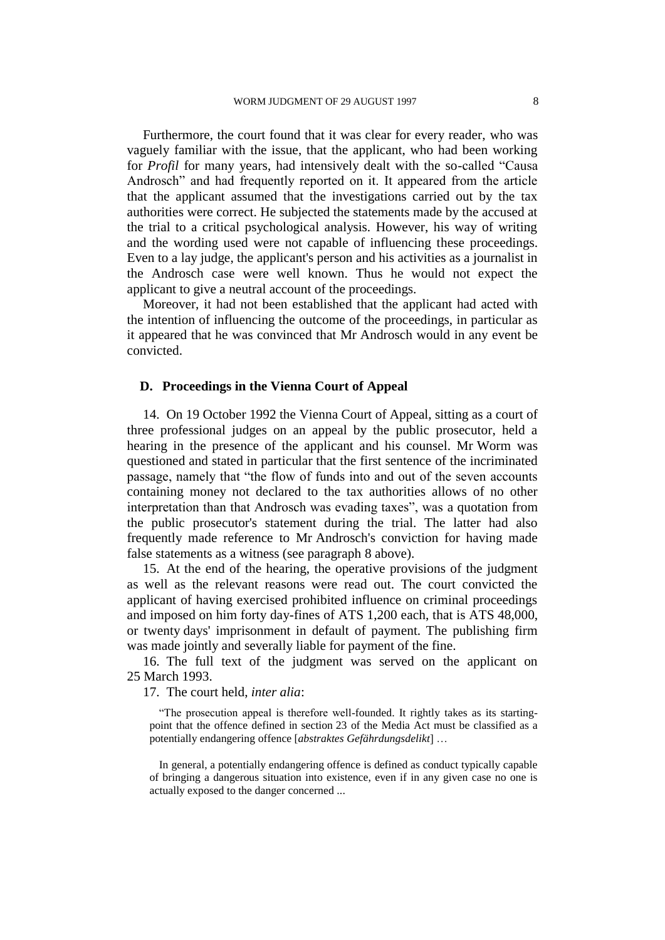Furthermore, the court found that it was clear for every reader, who was vaguely familiar with the issue, that the applicant, who had been working for *Profil* for many years, had intensively dealt with the so-called "Causa Androsch" and had frequently reported on it. It appeared from the article that the applicant assumed that the investigations carried out by the tax authorities were correct. He subjected the statements made by the accused at the trial to a critical psychological analysis. However, his way of writing and the wording used were not capable of influencing these proceedings. Even to a lay judge, the applicant's person and his activities as a journalist in the Androsch case were well known. Thus he would not expect the applicant to give a neutral account of the proceedings.

Moreover, it had not been established that the applicant had acted with the intention of influencing the outcome of the proceedings, in particular as it appeared that he was convinced that Mr Androsch would in any event be convicted.

### **D. Proceedings in the Vienna Court of Appeal**

14. On 19 October 1992 the Vienna Court of Appeal, sitting as a court of three professional judges on an appeal by the public prosecutor, held a hearing in the presence of the applicant and his counsel. Mr Worm was questioned and stated in particular that the first sentence of the incriminated passage, namely that "the flow of funds into and out of the seven accounts containing money not declared to the tax authorities allows of no other interpretation than that Androsch was evading taxes", was a quotation from the public prosecutor's statement during the trial. The latter had also frequently made reference to Mr Androsch's conviction for having made false statements as a witness (see paragraph 8 above).

15. At the end of the hearing, the operative provisions of the judgment as well as the relevant reasons were read out. The court convicted the applicant of having exercised prohibited influence on criminal proceedings and imposed on him forty day-fines of ATS 1,200 each, that is ATS 48,000, or twenty days' imprisonment in default of payment. The publishing firm was made jointly and severally liable for payment of the fine.

16. The full text of the judgment was served on the applicant on 25 March 1993.

17. The court held, *inter alia*:

"The prosecution appeal is therefore well-founded. It rightly takes as its startingpoint that the offence defined in section 23 of the Media Act must be classified as a potentially endangering offence [*abstraktes Gefährdungsdelikt*] …

In general, a potentially endangering offence is defined as conduct typically capable of bringing a dangerous situation into existence, even if in any given case no one is actually exposed to the danger concerned ...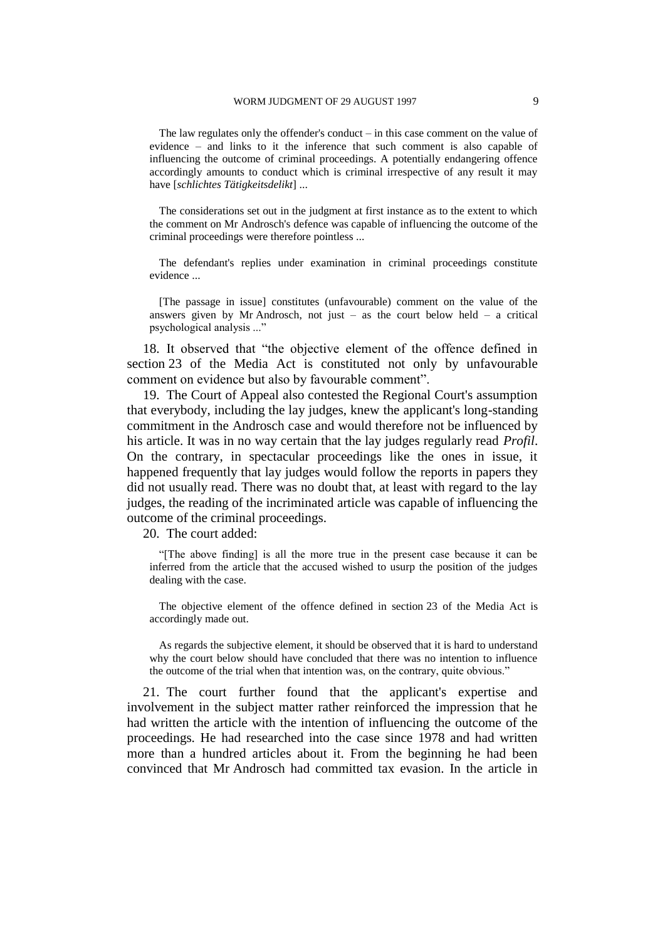The law regulates only the offender's conduct – in this case comment on the value of evidence – and links to it the inference that such comment is also capable of influencing the outcome of criminal proceedings. A potentially endangering offence accordingly amounts to conduct which is criminal irrespective of any result it may have [*schlichtes Tätigkeitsdelikt*] ...

The considerations set out in the judgment at first instance as to the extent to which the comment on Mr Androsch's defence was capable of influencing the outcome of the criminal proceedings were therefore pointless ...

The defendant's replies under examination in criminal proceedings constitute evidence ...

[The passage in issue] constitutes (unfavourable) comment on the value of the answers given by Mr Androsch, not just  $-$  as the court below held  $-$  a critical psychological analysis ..."

18. It observed that "the objective element of the offence defined in section 23 of the Media Act is constituted not only by unfavourable comment on evidence but also by favourable comment".

19. The Court of Appeal also contested the Regional Court's assumption that everybody, including the lay judges, knew the applicant's long-standing commitment in the Androsch case and would therefore not be influenced by his article. It was in no way certain that the lay judges regularly read *Profil*. On the contrary, in spectacular proceedings like the ones in issue, it happened frequently that lay judges would follow the reports in papers they did not usually read. There was no doubt that, at least with regard to the lay judges, the reading of the incriminated article was capable of influencing the outcome of the criminal proceedings.

20. The court added:

"[The above finding] is all the more true in the present case because it can be inferred from the article that the accused wished to usurp the position of the judges dealing with the case.

The objective element of the offence defined in section 23 of the Media Act is accordingly made out.

As regards the subjective element, it should be observed that it is hard to understand why the court below should have concluded that there was no intention to influence the outcome of the trial when that intention was, on the contrary, quite obvious."

21. The court further found that the applicant's expertise and involvement in the subject matter rather reinforced the impression that he had written the article with the intention of influencing the outcome of the proceedings. He had researched into the case since 1978 and had written more than a hundred articles about it. From the beginning he had been convinced that Mr Androsch had committed tax evasion. In the article in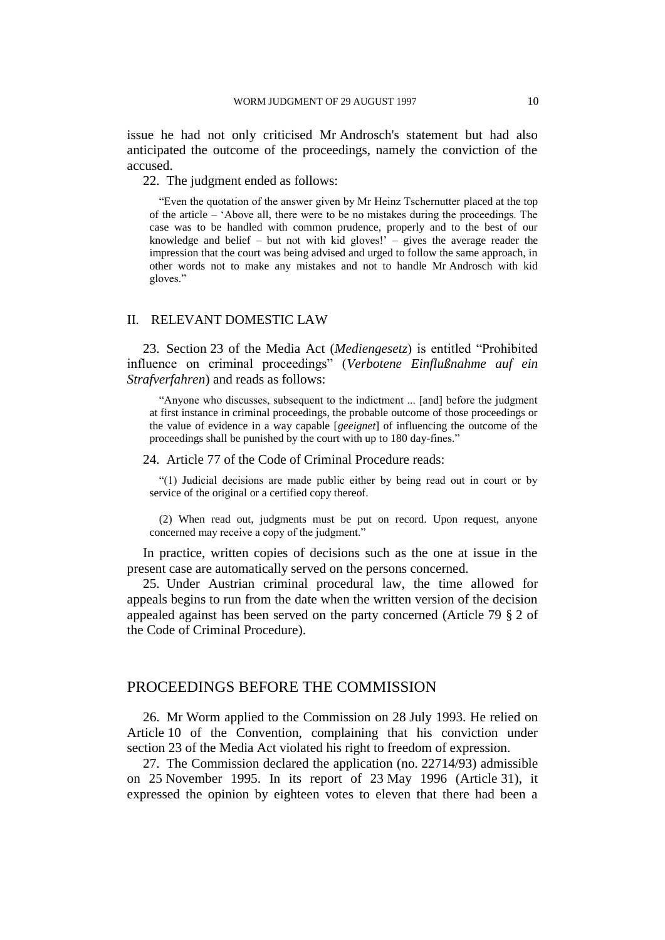issue he had not only criticised Mr Androsch's statement but had also anticipated the outcome of the proceedings, namely the conviction of the accused.

22. The judgment ended as follows:

"Even the quotation of the answer given by Mr Heinz Tschernutter placed at the top of the article – 'Above all, there were to be no mistakes during the proceedings. The case was to be handled with common prudence, properly and to the best of our knowledge and belief – but not with kid gloves!' – gives the average reader the impression that the court was being advised and urged to follow the same approach, in other words not to make any mistakes and not to handle Mr Androsch with kid gloves."

#### II. RELEVANT DOMESTIC LAW

23. Section 23 of the Media Act (*Mediengesetz*) is entitled "Prohibited influence on criminal proceedings" (*Verbotene Einflußnahme auf ein Strafverfahren*) and reads as follows:

"Anyone who discusses, subsequent to the indictment ... [and] before the judgment at first instance in criminal proceedings, the probable outcome of those proceedings or the value of evidence in a way capable [*geeignet*] of influencing the outcome of the proceedings shall be punished by the court with up to 180 day-fines."

#### 24. Article 77 of the Code of Criminal Procedure reads:

"(1) Judicial decisions are made public either by being read out in court or by service of the original or a certified copy thereof.

(2) When read out, judgments must be put on record. Upon request, anyone concerned may receive a copy of the judgment."

In practice, written copies of decisions such as the one at issue in the present case are automatically served on the persons concerned.

25. Under Austrian criminal procedural law, the time allowed for appeals begins to run from the date when the written version of the decision appealed against has been served on the party concerned (Article 79 § 2 of the Code of Criminal Procedure).

### PROCEEDINGS BEFORE THE COMMISSION

26. Mr Worm applied to the Commission on 28 July 1993. He relied on Article 10 of the Convention, complaining that his conviction under section 23 of the Media Act violated his right to freedom of expression.

27. The Commission declared the application (no. 22714/93) admissible on 25 November 1995. In its report of 23 May 1996 (Article 31), it expressed the opinion by eighteen votes to eleven that there had been a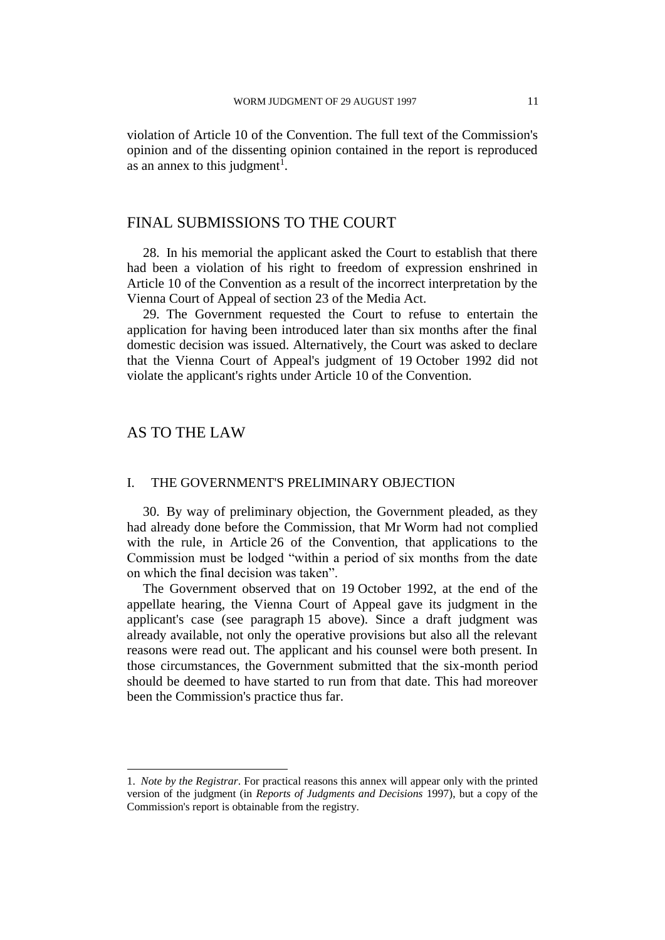violation of Article 10 of the Convention. The full text of the Commission's opinion and of the dissenting opinion contained in the report is reproduced as an annex to this judgment<sup>1</sup>.

# FINAL SUBMISSIONS TO THE COURT

28. In his memorial the applicant asked the Court to establish that there had been a violation of his right to freedom of expression enshrined in Article 10 of the Convention as a result of the incorrect interpretation by the Vienna Court of Appeal of section 23 of the Media Act.

29. The Government requested the Court to refuse to entertain the application for having been introduced later than six months after the final domestic decision was issued. Alternatively, the Court was asked to declare that the Vienna Court of Appeal's judgment of 19 October 1992 did not violate the applicant's rights under Article 10 of the Convention.

# AS TO THE LAW

 $\overline{\phantom{a}}$ 

### I. THE GOVERNMENT'S PRELIMINARY OBJECTION

30. By way of preliminary objection, the Government pleaded, as they had already done before the Commission, that Mr Worm had not complied with the rule, in Article 26 of the Convention, that applications to the Commission must be lodged "within a period of six months from the date on which the final decision was taken".

The Government observed that on 19 October 1992, at the end of the appellate hearing, the Vienna Court of Appeal gave its judgment in the applicant's case (see paragraph 15 above). Since a draft judgment was already available, not only the operative provisions but also all the relevant reasons were read out. The applicant and his counsel were both present. In those circumstances, the Government submitted that the six-month period should be deemed to have started to run from that date. This had moreover been the Commission's practice thus far.

<sup>1.</sup> *Note by the Registrar*. For practical reasons this annex will appear only with the printed version of the judgment (in *Reports of Judgments and Decisions* 1997), but a copy of the Commission's report is obtainable from the registry.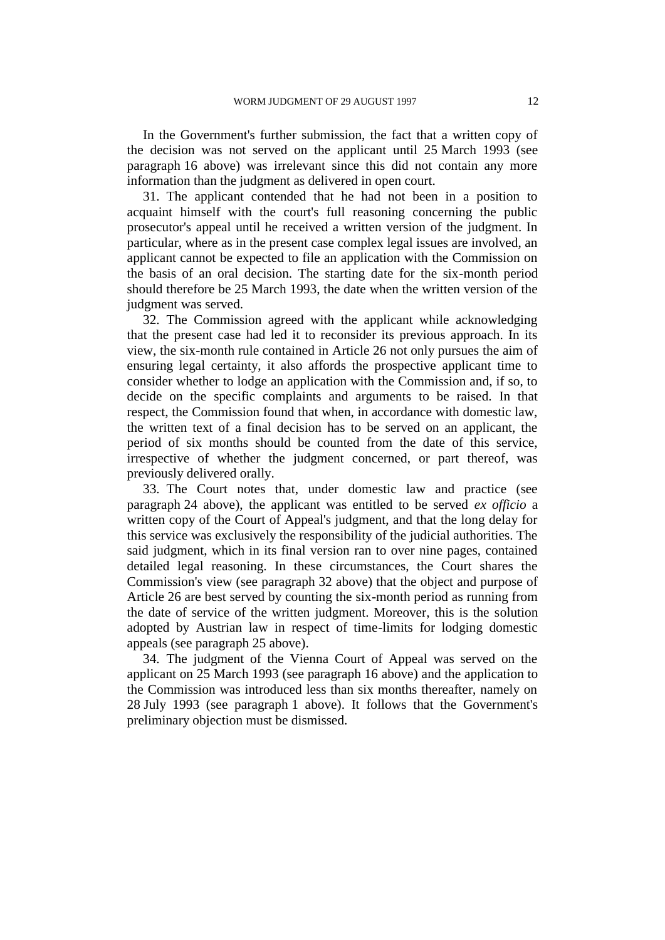In the Government's further submission, the fact that a written copy of the decision was not served on the applicant until 25 March 1993 (see paragraph 16 above) was irrelevant since this did not contain any more information than the judgment as delivered in open court.

31. The applicant contended that he had not been in a position to acquaint himself with the court's full reasoning concerning the public prosecutor's appeal until he received a written version of the judgment. In particular, where as in the present case complex legal issues are involved, an applicant cannot be expected to file an application with the Commission on the basis of an oral decision. The starting date for the six-month period should therefore be 25 March 1993, the date when the written version of the judgment was served.

32. The Commission agreed with the applicant while acknowledging that the present case had led it to reconsider its previous approach. In its view, the six-month rule contained in Article 26 not only pursues the aim of ensuring legal certainty, it also affords the prospective applicant time to consider whether to lodge an application with the Commission and, if so, to decide on the specific complaints and arguments to be raised. In that respect, the Commission found that when, in accordance with domestic law, the written text of a final decision has to be served on an applicant, the period of six months should be counted from the date of this service, irrespective of whether the judgment concerned, or part thereof, was previously delivered orally.

33. The Court notes that, under domestic law and practice (see paragraph 24 above), the applicant was entitled to be served *ex officio* a written copy of the Court of Appeal's judgment, and that the long delay for this service was exclusively the responsibility of the judicial authorities. The said judgment, which in its final version ran to over nine pages, contained detailed legal reasoning. In these circumstances, the Court shares the Commission's view (see paragraph 32 above) that the object and purpose of Article 26 are best served by counting the six-month period as running from the date of service of the written judgment. Moreover, this is the solution adopted by Austrian law in respect of time-limits for lodging domestic appeals (see paragraph 25 above).

34. The judgment of the Vienna Court of Appeal was served on the applicant on 25 March 1993 (see paragraph 16 above) and the application to the Commission was introduced less than six months thereafter, namely on 28 July 1993 (see paragraph 1 above). It follows that the Government's preliminary objection must be dismissed.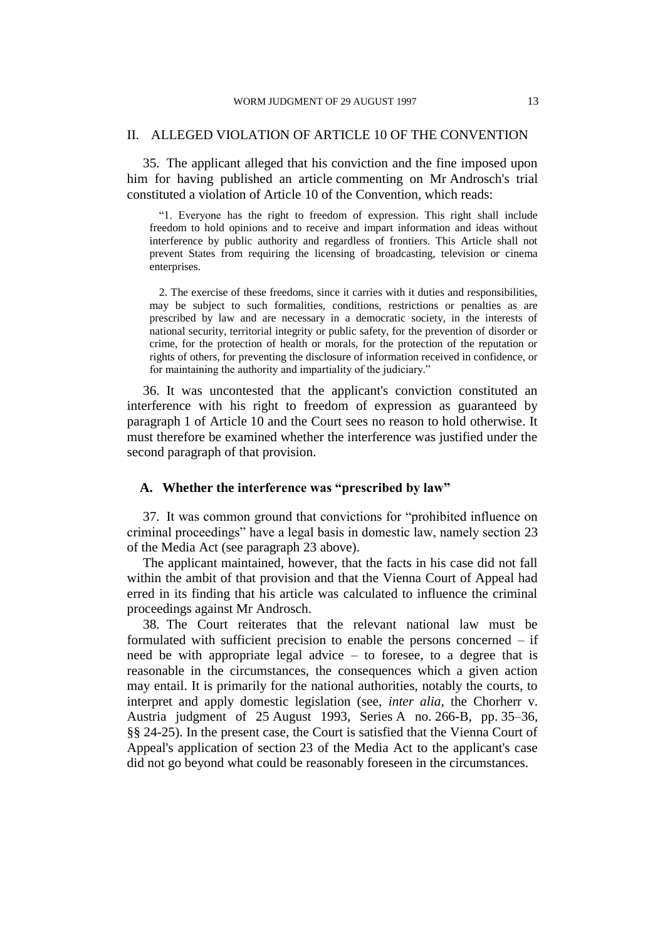### II. ALLEGED VIOLATION OF ARTICLE 10 OF THE CONVENTION

35. The applicant alleged that his conviction and the fine imposed upon him for having published an article commenting on Mr Androsch's trial constituted a violation of Article 10 of the Convention, which reads:

"1. Everyone has the right to freedom of expression. This right shall include freedom to hold opinions and to receive and impart information and ideas without interference by public authority and regardless of frontiers. This Article shall not prevent States from requiring the licensing of broadcasting, television or cinema enterprises.

2. The exercise of these freedoms, since it carries with it duties and responsibilities, may be subject to such formalities, conditions, restrictions or penalties as are prescribed by law and are necessary in a democratic society, in the interests of national security, territorial integrity or public safety, for the prevention of disorder or crime, for the protection of health or morals, for the protection of the reputation or rights of others, for preventing the disclosure of information received in confidence, or for maintaining the authority and impartiality of the judiciary."

36. It was uncontested that the applicant's conviction constituted an interference with his right to freedom of expression as guaranteed by paragraph 1 of Article 10 and the Court sees no reason to hold otherwise. It must therefore be examined whether the interference was justified under the second paragraph of that provision.

### **A. Whether the interference was "prescribed by law"**

37. It was common ground that convictions for "prohibited influence on criminal proceedings" have a legal basis in domestic law, namely section 23 of the Media Act (see paragraph 23 above).

The applicant maintained, however, that the facts in his case did not fall within the ambit of that provision and that the Vienna Court of Appeal had erred in its finding that his article was calculated to influence the criminal proceedings against Mr Androsch.

38. The Court reiterates that the relevant national law must be formulated with sufficient precision to enable the persons concerned – if need be with appropriate legal advice – to foresee, to a degree that is reasonable in the circumstances, the consequences which a given action may entail. It is primarily for the national authorities, notably the courts, to interpret and apply domestic legislation (see, *inter alia*, the Chorherr v. Austria judgment of 25 August 1993, Series A no. 266-B, pp. 35–36, §§ 24-25). In the present case, the Court is satisfied that the Vienna Court of Appeal's application of section 23 of the Media Act to the applicant's case did not go beyond what could be reasonably foreseen in the circumstances.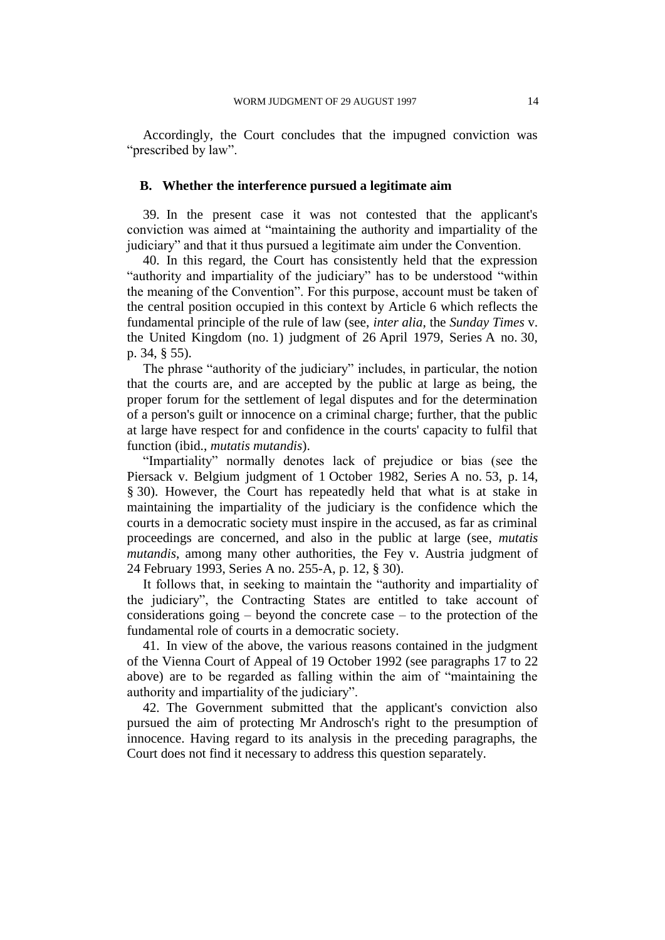Accordingly, the Court concludes that the impugned conviction was "prescribed by law".

#### **B. Whether the interference pursued a legitimate aim**

39. In the present case it was not contested that the applicant's conviction was aimed at "maintaining the authority and impartiality of the judiciary" and that it thus pursued a legitimate aim under the Convention.

40. In this regard, the Court has consistently held that the expression "authority and impartiality of the judiciary" has to be understood "within the meaning of the Convention". For this purpose, account must be taken of the central position occupied in this context by Article 6 which reflects the fundamental principle of the rule of law (see, *inter alia*, the *Sunday Times* v. the United Kingdom (no. 1) judgment of 26 April 1979, Series A no. 30, p. 34, § 55).

The phrase "authority of the judiciary" includes, in particular, the notion that the courts are, and are accepted by the public at large as being, the proper forum for the settlement of legal disputes and for the determination of a person's guilt or innocence on a criminal charge; further, that the public at large have respect for and confidence in the courts' capacity to fulfil that function (ibid., *mutatis mutandis*).

"Impartiality" normally denotes lack of prejudice or bias (see the Piersack v. Belgium judgment of 1 October 1982, Series A no. 53, p. 14, § 30). However, the Court has repeatedly held that what is at stake in maintaining the impartiality of the judiciary is the confidence which the courts in a democratic society must inspire in the accused, as far as criminal proceedings are concerned, and also in the public at large (see, *mutatis mutandis*, among many other authorities, the Fey v. Austria judgment of 24 February 1993, Series A no. 255-A, p. 12, § 30).

It follows that, in seeking to maintain the "authority and impartiality of the judiciary", the Contracting States are entitled to take account of considerations going – beyond the concrete case – to the protection of the fundamental role of courts in a democratic society.

41. In view of the above, the various reasons contained in the judgment of the Vienna Court of Appeal of 19 October 1992 (see paragraphs 17 to 22 above) are to be regarded as falling within the aim of "maintaining the authority and impartiality of the judiciary".

42. The Government submitted that the applicant's conviction also pursued the aim of protecting Mr Androsch's right to the presumption of innocence. Having regard to its analysis in the preceding paragraphs, the Court does not find it necessary to address this question separately.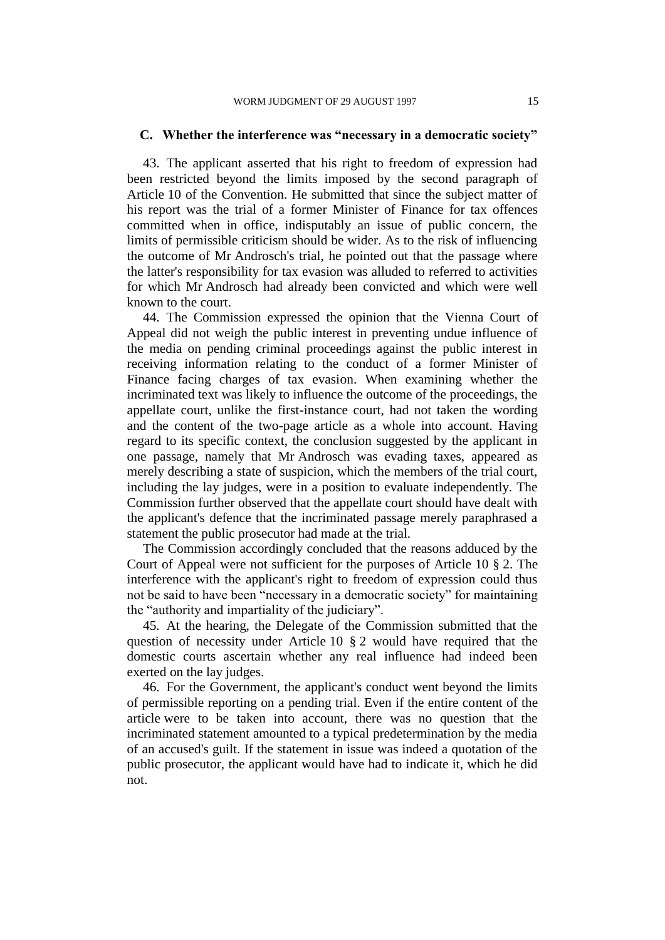### **C. Whether the interference was "necessary in a democratic society"**

43. The applicant asserted that his right to freedom of expression had been restricted beyond the limits imposed by the second paragraph of Article 10 of the Convention. He submitted that since the subject matter of his report was the trial of a former Minister of Finance for tax offences committed when in office, indisputably an issue of public concern, the limits of permissible criticism should be wider. As to the risk of influencing the outcome of Mr Androsch's trial, he pointed out that the passage where the latter's responsibility for tax evasion was alluded to referred to activities for which Mr Androsch had already been convicted and which were well known to the court.

44. The Commission expressed the opinion that the Vienna Court of Appeal did not weigh the public interest in preventing undue influence of the media on pending criminal proceedings against the public interest in receiving information relating to the conduct of a former Minister of Finance facing charges of tax evasion. When examining whether the incriminated text was likely to influence the outcome of the proceedings, the appellate court, unlike the first-instance court, had not taken the wording and the content of the two-page article as a whole into account. Having regard to its specific context, the conclusion suggested by the applicant in one passage, namely that Mr Androsch was evading taxes, appeared as merely describing a state of suspicion, which the members of the trial court, including the lay judges, were in a position to evaluate independently. The Commission further observed that the appellate court should have dealt with the applicant's defence that the incriminated passage merely paraphrased a statement the public prosecutor had made at the trial.

The Commission accordingly concluded that the reasons adduced by the Court of Appeal were not sufficient for the purposes of Article 10 § 2. The interference with the applicant's right to freedom of expression could thus not be said to have been "necessary in a democratic society" for maintaining the "authority and impartiality of the judiciary".

45. At the hearing, the Delegate of the Commission submitted that the question of necessity under Article 10 § 2 would have required that the domestic courts ascertain whether any real influence had indeed been exerted on the lay judges.

46. For the Government, the applicant's conduct went beyond the limits of permissible reporting on a pending trial. Even if the entire content of the article were to be taken into account, there was no question that the incriminated statement amounted to a typical predetermination by the media of an accused's guilt. If the statement in issue was indeed a quotation of the public prosecutor, the applicant would have had to indicate it, which he did not.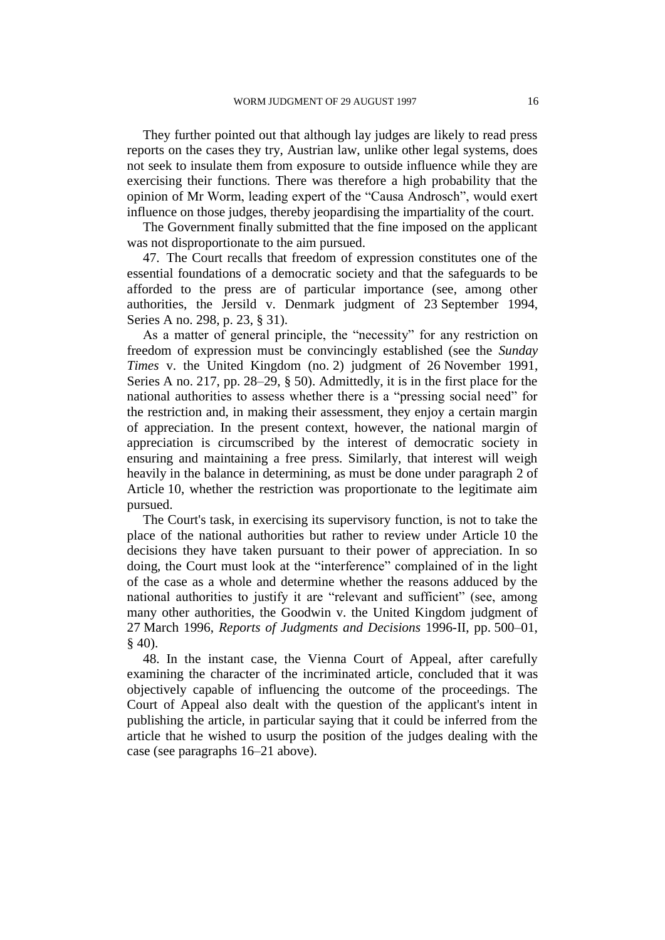They further pointed out that although lay judges are likely to read press reports on the cases they try, Austrian law, unlike other legal systems, does not seek to insulate them from exposure to outside influence while they are exercising their functions. There was therefore a high probability that the opinion of Mr Worm, leading expert of the "Causa Androsch", would exert influence on those judges, thereby jeopardising the impartiality of the court.

The Government finally submitted that the fine imposed on the applicant was not disproportionate to the aim pursued.

47. The Court recalls that freedom of expression constitutes one of the essential foundations of a democratic society and that the safeguards to be afforded to the press are of particular importance (see, among other authorities, the Jersild v. Denmark judgment of 23 September 1994, Series A no. 298, p. 23, § 31).

As a matter of general principle, the "necessity" for any restriction on freedom of expression must be convincingly established (see the *Sunday Times* v. the United Kingdom (no. 2) judgment of 26 November 1991, Series A no. 217, pp. 28–29, § 50). Admittedly, it is in the first place for the national authorities to assess whether there is a "pressing social need" for the restriction and, in making their assessment, they enjoy a certain margin of appreciation. In the present context, however, the national margin of appreciation is circumscribed by the interest of democratic society in ensuring and maintaining a free press. Similarly, that interest will weigh heavily in the balance in determining, as must be done under paragraph 2 of Article 10, whether the restriction was proportionate to the legitimate aim pursued.

The Court's task, in exercising its supervisory function, is not to take the place of the national authorities but rather to review under Article 10 the decisions they have taken pursuant to their power of appreciation. In so doing, the Court must look at the "interference" complained of in the light of the case as a whole and determine whether the reasons adduced by the national authorities to justify it are "relevant and sufficient" (see, among many other authorities, the Goodwin v. the United Kingdom judgment of 27 March 1996, *Reports of Judgments and Decisions* 1996-II, pp. 500–01, § 40).

48. In the instant case, the Vienna Court of Appeal, after carefully examining the character of the incriminated article, concluded that it was objectively capable of influencing the outcome of the proceedings. The Court of Appeal also dealt with the question of the applicant's intent in publishing the article, in particular saying that it could be inferred from the article that he wished to usurp the position of the judges dealing with the case (see paragraphs 16–21 above).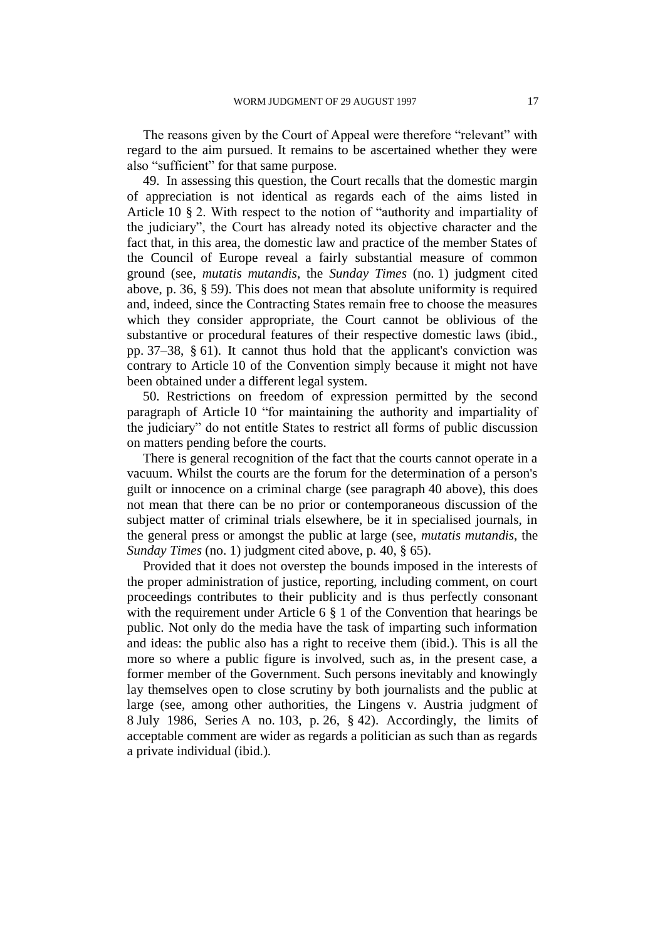The reasons given by the Court of Appeal were therefore "relevant" with regard to the aim pursued. It remains to be ascertained whether they were also "sufficient" for that same purpose.

49. In assessing this question, the Court recalls that the domestic margin of appreciation is not identical as regards each of the aims listed in Article 10 § 2. With respect to the notion of "authority and impartiality of the judiciary", the Court has already noted its objective character and the fact that, in this area, the domestic law and practice of the member States of the Council of Europe reveal a fairly substantial measure of common ground (see, *mutatis mutandis*, the *Sunday Times* (no. 1) judgment cited above, p. 36, § 59). This does not mean that absolute uniformity is required and, indeed, since the Contracting States remain free to choose the measures which they consider appropriate, the Court cannot be oblivious of the substantive or procedural features of their respective domestic laws (ibid., pp. 37–38, § 61). It cannot thus hold that the applicant's conviction was contrary to Article 10 of the Convention simply because it might not have been obtained under a different legal system.

50. Restrictions on freedom of expression permitted by the second paragraph of Article 10 "for maintaining the authority and impartiality of the judiciary" do not entitle States to restrict all forms of public discussion on matters pending before the courts.

There is general recognition of the fact that the courts cannot operate in a vacuum. Whilst the courts are the forum for the determination of a person's guilt or innocence on a criminal charge (see paragraph 40 above), this does not mean that there can be no prior or contemporaneous discussion of the subject matter of criminal trials elsewhere, be it in specialised journals, in the general press or amongst the public at large (see, *mutatis mutandis*, the *Sunday Times* (no. 1) judgment cited above, p. 40, § 65).

Provided that it does not overstep the bounds imposed in the interests of the proper administration of justice, reporting, including comment, on court proceedings contributes to their publicity and is thus perfectly consonant with the requirement under Article 6  $\S$  1 of the Convention that hearings be public. Not only do the media have the task of imparting such information and ideas: the public also has a right to receive them (ibid.). This is all the more so where a public figure is involved, such as, in the present case, a former member of the Government. Such persons inevitably and knowingly lay themselves open to close scrutiny by both journalists and the public at large (see, among other authorities, the Lingens v. Austria judgment of 8 July 1986, Series A no. 103, p. 26, § 42). Accordingly, the limits of acceptable comment are wider as regards a politician as such than as regards a private individual (ibid.).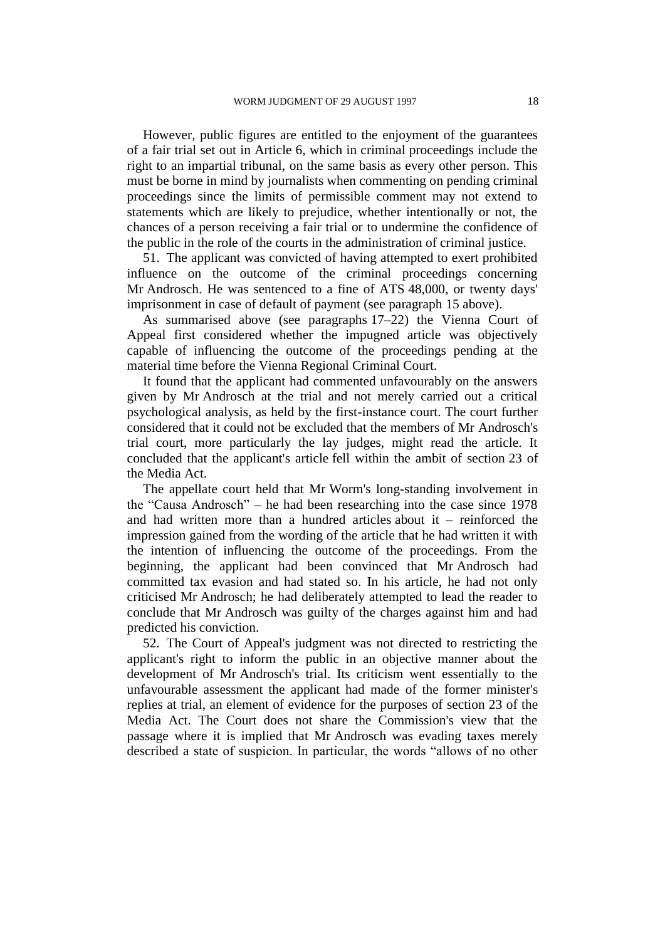However, public figures are entitled to the enjoyment of the guarantees of a fair trial set out in Article 6, which in criminal proceedings include the right to an impartial tribunal, on the same basis as every other person. This must be borne in mind by journalists when commenting on pending criminal proceedings since the limits of permissible comment may not extend to statements which are likely to prejudice, whether intentionally or not, the chances of a person receiving a fair trial or to undermine the confidence of the public in the role of the courts in the administration of criminal justice.

51. The applicant was convicted of having attempted to exert prohibited influence on the outcome of the criminal proceedings concerning Mr Androsch. He was sentenced to a fine of ATS 48,000, or twenty days' imprisonment in case of default of payment (see paragraph 15 above).

As summarised above (see paragraphs 17–22) the Vienna Court of Appeal first considered whether the impugned article was objectively capable of influencing the outcome of the proceedings pending at the material time before the Vienna Regional Criminal Court.

It found that the applicant had commented unfavourably on the answers given by Mr Androsch at the trial and not merely carried out a critical psychological analysis, as held by the first-instance court. The court further considered that it could not be excluded that the members of Mr Androsch's trial court, more particularly the lay judges, might read the article. It concluded that the applicant's article fell within the ambit of section 23 of the Media Act.

The appellate court held that Mr Worm's long-standing involvement in the "Causa Androsch" – he had been researching into the case since 1978 and had written more than a hundred articles about it – reinforced the impression gained from the wording of the article that he had written it with the intention of influencing the outcome of the proceedings. From the beginning, the applicant had been convinced that Mr Androsch had committed tax evasion and had stated so. In his article, he had not only criticised Mr Androsch; he had deliberately attempted to lead the reader to conclude that Mr Androsch was guilty of the charges against him and had predicted his conviction.

52. The Court of Appeal's judgment was not directed to restricting the applicant's right to inform the public in an objective manner about the development of Mr Androsch's trial. Its criticism went essentially to the unfavourable assessment the applicant had made of the former minister's replies at trial, an element of evidence for the purposes of section 23 of the Media Act. The Court does not share the Commission's view that the passage where it is implied that Mr Androsch was evading taxes merely described a state of suspicion. In particular, the words "allows of no other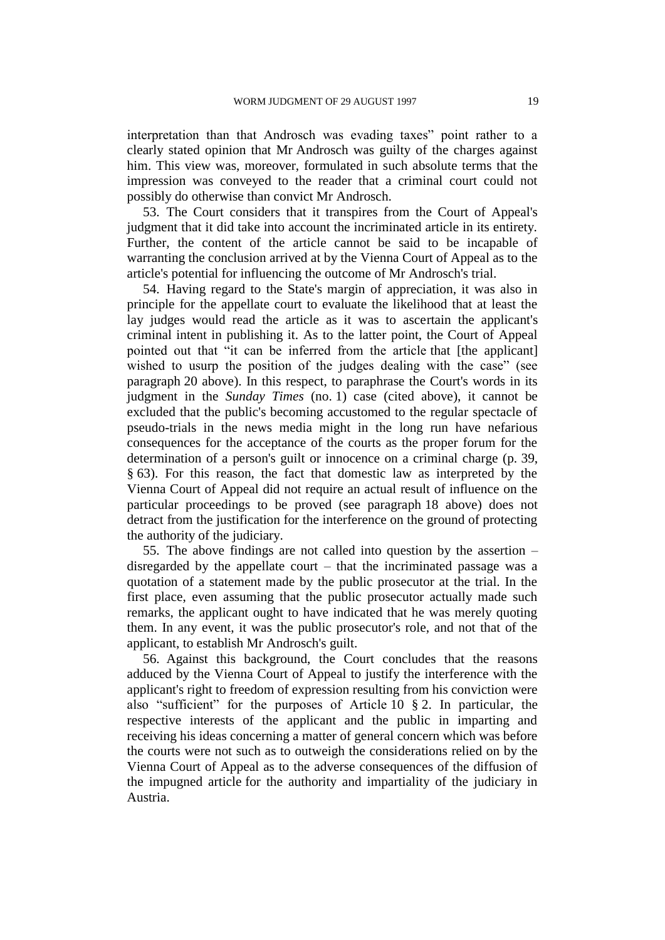interpretation than that Androsch was evading taxes" point rather to a clearly stated opinion that Mr Androsch was guilty of the charges against him. This view was, moreover, formulated in such absolute terms that the impression was conveyed to the reader that a criminal court could not possibly do otherwise than convict Mr Androsch.

53. The Court considers that it transpires from the Court of Appeal's judgment that it did take into account the incriminated article in its entirety. Further, the content of the article cannot be said to be incapable of warranting the conclusion arrived at by the Vienna Court of Appeal as to the article's potential for influencing the outcome of Mr Androsch's trial.

54. Having regard to the State's margin of appreciation, it was also in principle for the appellate court to evaluate the likelihood that at least the lay judges would read the article as it was to ascertain the applicant's criminal intent in publishing it. As to the latter point, the Court of Appeal pointed out that "it can be inferred from the article that [the applicant] wished to usurp the position of the judges dealing with the case" (see paragraph 20 above). In this respect, to paraphrase the Court's words in its judgment in the *Sunday Times* (no. 1) case (cited above), it cannot be excluded that the public's becoming accustomed to the regular spectacle of pseudo-trials in the news media might in the long run have nefarious consequences for the acceptance of the courts as the proper forum for the determination of a person's guilt or innocence on a criminal charge (p. 39, § 63). For this reason, the fact that domestic law as interpreted by the Vienna Court of Appeal did not require an actual result of influence on the particular proceedings to be proved (see paragraph 18 above) does not detract from the justification for the interference on the ground of protecting the authority of the judiciary.

55. The above findings are not called into question by the assertion – disregarded by the appellate court – that the incriminated passage was a quotation of a statement made by the public prosecutor at the trial. In the first place, even assuming that the public prosecutor actually made such remarks, the applicant ought to have indicated that he was merely quoting them. In any event, it was the public prosecutor's role, and not that of the applicant, to establish Mr Androsch's guilt.

56. Against this background, the Court concludes that the reasons adduced by the Vienna Court of Appeal to justify the interference with the applicant's right to freedom of expression resulting from his conviction were also "sufficient" for the purposes of Article 10 § 2. In particular, the respective interests of the applicant and the public in imparting and receiving his ideas concerning a matter of general concern which was before the courts were not such as to outweigh the considerations relied on by the Vienna Court of Appeal as to the adverse consequences of the diffusion of the impugned article for the authority and impartiality of the judiciary in Austria.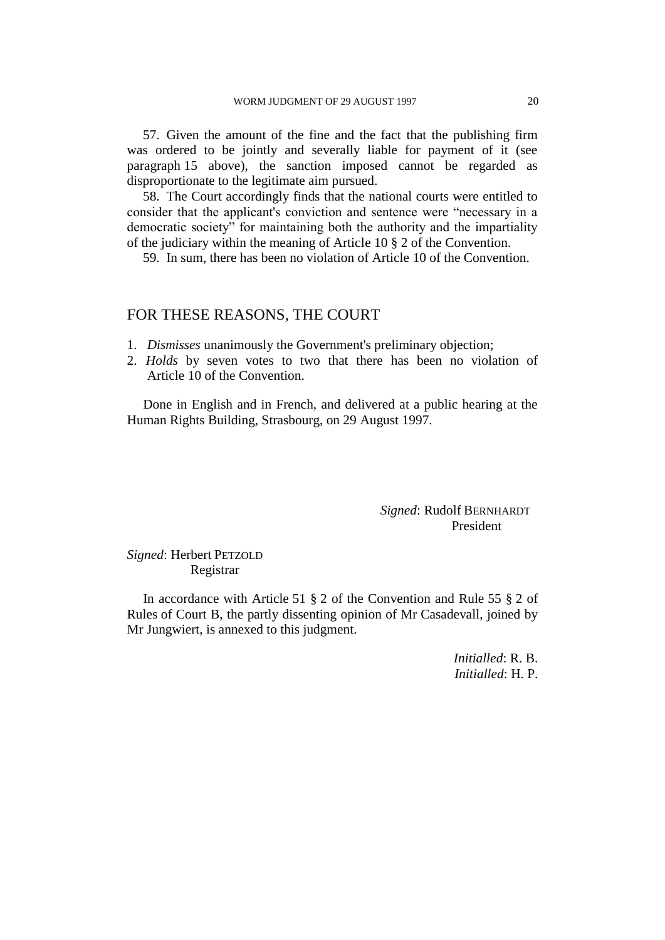57. Given the amount of the fine and the fact that the publishing firm was ordered to be jointly and severally liable for payment of it (see paragraph 15 above), the sanction imposed cannot be regarded as disproportionate to the legitimate aim pursued.

58. The Court accordingly finds that the national courts were entitled to consider that the applicant's conviction and sentence were "necessary in a democratic society" for maintaining both the authority and the impartiality of the judiciary within the meaning of Article 10 § 2 of the Convention.

59. In sum, there has been no violation of Article 10 of the Convention.

### FOR THESE REASONS, THE COURT

1. *Dismisses* unanimously the Government's preliminary objection;

2. *Holds* by seven votes to two that there has been no violation of Article 10 of the Convention.

Done in English and in French, and delivered at a public hearing at the Human Rights Building, Strasbourg, on 29 August 1997.

> *Signed*: Rudolf BERNHARDT President

*Signed*: Herbert PETZOLD Registrar

In accordance with Article 51 § 2 of the Convention and Rule 55 § 2 of Rules of Court B, the partly dissenting opinion of Mr Casadevall, joined by Mr Jungwiert, is annexed to this judgment.

> *Initialled*: R. B. *Initialled*: H. P.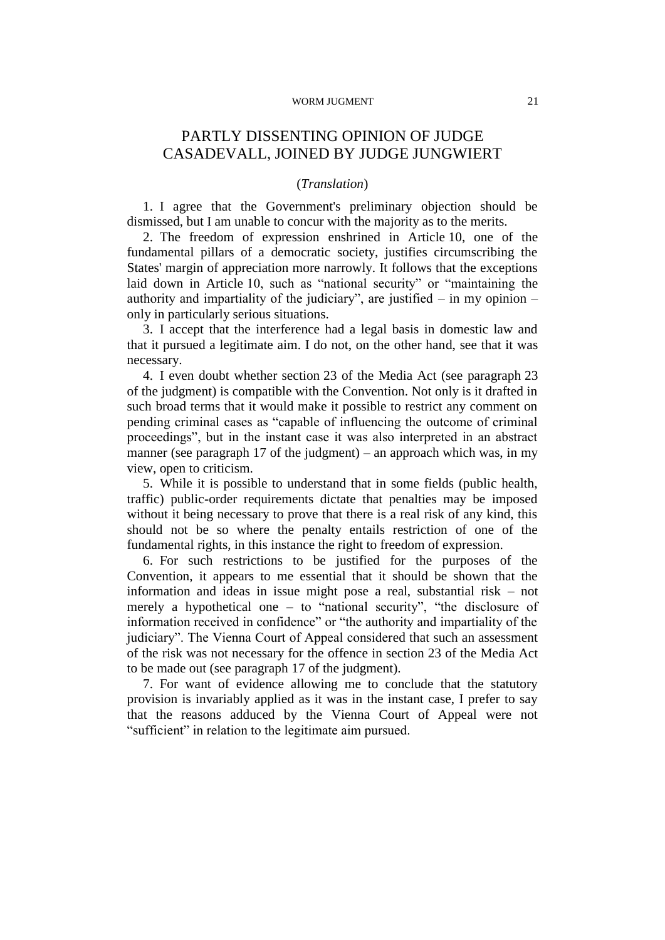#### WORM JUGMENT 21

# PARTLY DISSENTING OPINION OF JUDGE CASADEVALL, JOINED BY JUDGE JUNGWIERT

### (*Translation*)

1. I agree that the Government's preliminary objection should be dismissed, but I am unable to concur with the majority as to the merits.

2. The freedom of expression enshrined in Article 10, one of the fundamental pillars of a democratic society, justifies circumscribing the States' margin of appreciation more narrowly. It follows that the exceptions laid down in Article 10, such as "national security" or "maintaining the authority and impartiality of the judiciary", are justified  $-$  in my opinion  $$ only in particularly serious situations.

3. I accept that the interference had a legal basis in domestic law and that it pursued a legitimate aim. I do not, on the other hand, see that it was necessary.

4. I even doubt whether section 23 of the Media Act (see paragraph 23 of the judgment) is compatible with the Convention. Not only is it drafted in such broad terms that it would make it possible to restrict any comment on pending criminal cases as "capable of influencing the outcome of criminal proceedings", but in the instant case it was also interpreted in an abstract manner (see paragraph 17 of the judgment) – an approach which was, in my view, open to criticism.

5. While it is possible to understand that in some fields (public health, traffic) public-order requirements dictate that penalties may be imposed without it being necessary to prove that there is a real risk of any kind, this should not be so where the penalty entails restriction of one of the fundamental rights, in this instance the right to freedom of expression.

6. For such restrictions to be justified for the purposes of the Convention, it appears to me essential that it should be shown that the information and ideas in issue might pose a real, substantial risk – not merely a hypothetical one – to "national security", "the disclosure of information received in confidence" or "the authority and impartiality of the judiciary". The Vienna Court of Appeal considered that such an assessment of the risk was not necessary for the offence in section 23 of the Media Act to be made out (see paragraph 17 of the judgment).

7. For want of evidence allowing me to conclude that the statutory provision is invariably applied as it was in the instant case, I prefer to say that the reasons adduced by the Vienna Court of Appeal were not "sufficient" in relation to the legitimate aim pursued.